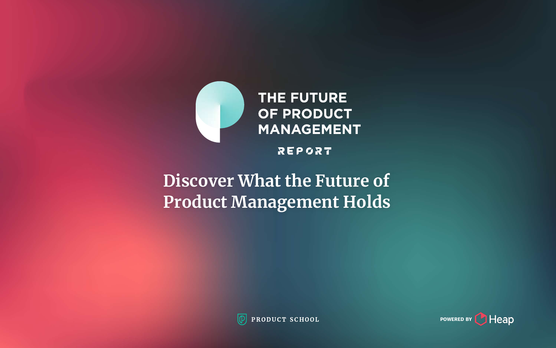

THE FUTURE OF PRODUCT MANAGEMENT

**REPORT** 



**Discover What the Future of Product Management Holds**



PRODUCT SCHOOL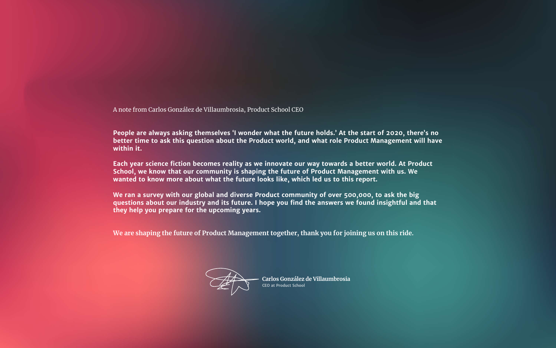**People are always asking themselves 'I wonder what the future holds.' At the start of 2020, there's no better time to ask this question about the Product world, and what role Product Management will have within it.**

**Each year science fiction becomes reality as we innovate our way towards a better world. At Product School, we know that our community is shaping the future of Product Management with us. We wanted to know more about what the future looks like, which led us to this report.**

**We ran a survey with our global and diverse Product community of over 500,000, to ask the big questions about our industry and its future. I hope you find the answers we found insightful and that they help you prepare for the upcoming years.**

**We are shaping the future of Product Management together, thank you for joining us on this ride.**



A note from Carlos González de Villaumbrosia, Product School CEO

**Carlos González de Villaumbrosia CEO at Product School**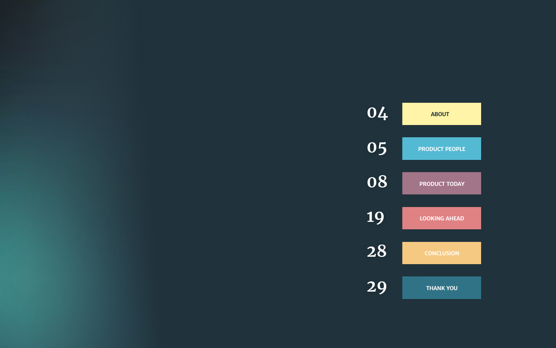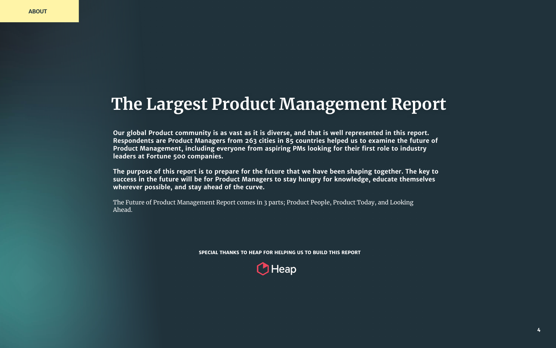**SPECIAL THANKS TO HEAP FOR HELPING US TO BUILD THIS REPORT**



**Our global Product community is as vast as it is diverse, and that is well represented in this report. Respondents are Product Managers from 263 cities in 85 countries helped us to examine the future of Product Management, including everyone from aspiring PMs looking for their first role to industry leaders at Fortune 500 companies.**

**The purpose of this report is to prepare for the future that we have been shaping together. The key to success in the future will be for Product Managers to stay hungry for knowledge, educate themselves wherever possible, and stay ahead of the curve.**

# **The Largest Product Management Report The Largest Product Management Report**

The Future of Product Management Report comes in 3 parts; Product People, Product Today, and Looking Ahead.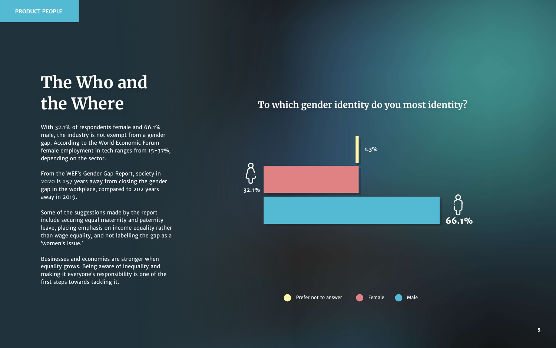With 32.1% of respondents female and 66.1% male, the industry is not exempt from a gender gap. According to the World Economic Forum female employment in tech ranges from 15-37%, depending on the sector.

From the WEF's Gender Gap Report, society in 2020 is 257 years away from closing the gender gap in the workplace, compared to 202 years away in 2019.

Some of the suggestions made by the report include securing equal maternity and paternity leave, placing emphasis on income equality rather than wage equality, and not labelling the gap as a 'women's issue.'

Businesses and economies are stronger when equality grows. Being aware of inequality and making it everyone's responsibility is one of the first steps towards tackling it.

# **The Who and the Where**



### **To which gender identity do you most identity? To which gender identity do you most identity?**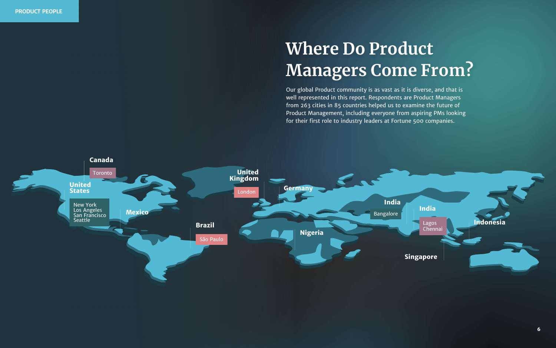Our global Product community is as vast as it is diverse, and that is well represented in this report. Respondents are Product Managers from 263 cities in 85 countries helped us to examine the future of Product Management, including everyone from aspiring PMs looking for their first role to industry leaders at Fortune 500 companies.

# **Where Do Product Managers Come From?**

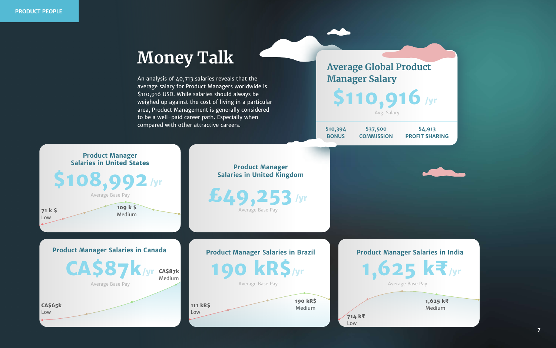An analysis of 40,713 salaries reveals that the average salary for Product Managers worldwide is \$110,916 USD. While salaries should always be weighed up against the cost of living in a particular area, Product Management is generally considered to be a well-paid career path. Especially when compared with other attractive careers.



**714 k₹** Low

**1,625 k₹** Medium

Average Base Pay



#### **Product Manager Salaries in India**





**\$10,394 BONUS**

**\$37,500 COMMISSION**



**\$4,913 PROFIT SHARING**



#### **Average Global Product Manager Salary**

## **Money Talk Money Talk**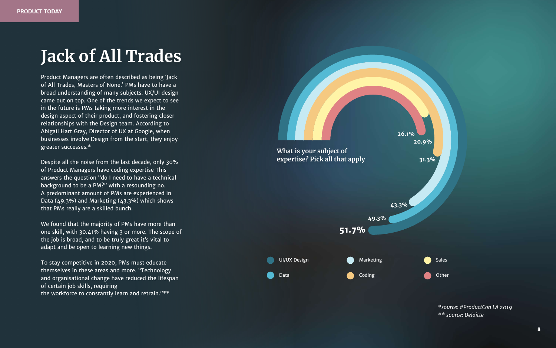**Despite all the noise from the last decade, only 30%** of Product Managers have coding expertise This answers the question "do I need to have a technical background to be a PM?" with a resounding no. A predominant amount of PMs are experienced in Data (49.3%) and Marketing (43.3%) which shows that PMs really are a skilled bunch.

We found that the majority of PMs have more than one skill, with 30.41% having 3 or more. The scope of the job is broad, and to be truly great it's vital to adapt and be open to learning new things.

To stay competitive in 2020, PMs must educate themselves in these areas and more. "Technology and organisational change have reduced the lifespan of certain job skills, requiring the workforce to constantly learn and retrain."\*\*

**What is your subject of expertise? Pick all that apply**



UI/UX Design

Data

# **Jack of All Trades Jack of All Trades**

Product Managers are often described as being 'Jack of All Trades, Masters of None.' PMs have to have a broad understanding of many subjects. UX/UI design came out on top. One of the trends we expect to see in the future is PMs taking more interest in the design aspect of their product, and fostering closer relationships with the Design team. According to Abigail Hart Gray, Director of UX at Google, when businesses involve Design from the start, they enjoy greater successes.\* **What is your subject of the interval**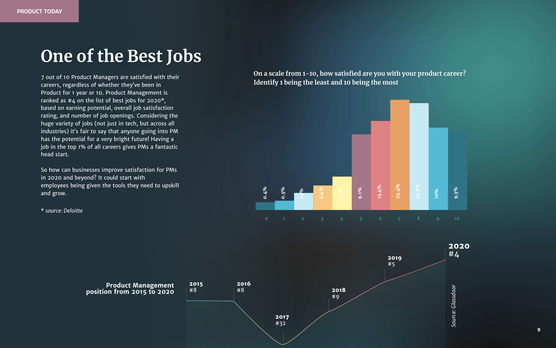7 out of 10 Product Managers are satisfied with their careers, regardless of whether they've been in Product for 1 year or 10. Product Management is ranked as #4 on the list of best jobs for 2020\*, based on earning potential, overall job satisfaction rating, and number of job openings. Considering the huge variety of jobs (not just in tech, but across all industries) it's fair to say that anyone going into PM has the potential for a very bright future! Having a job in the top 1% of all careers gives PMs a fantastic head start.

So how can businesses improve satisfaction for PMs in 2020 and beyond? It could start with employees being given the tools they need to upskill and grow.



**Identify 1 being the least and 10 being the most**







*\* source: Deloitte*

# **One of the Best Jobs**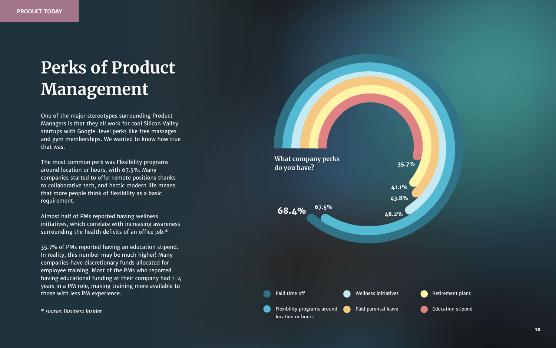One of the major stereotypes surrounding Product Managers is that they all work for cool Silicon Valley startups with Google-level perks like free massages and gym memberships. We wanted to know how true that was.

The most common perk was Flexibility programs around location or hours, with 67.5%. Many companies started to offer remote positions thanks to collaborative tech, and hectic modern life means that more people think of flexibility as a basic requirement.

Almost half of PMs reported having wellness initiatives, which correlate with increasing awareness surrounding the health deficits of an office job. $*$ 

Flexibility programs around location or hours \* source: Business Insider **Education stipend \*** source: Business Insider **the Second Act of the Second 1999** Flexibility programs around **the Paid parental leave Education stipend** 

35.7% of PMs reported having an education stipend. In reality, this number may be much higher! Many companies have discretionary funds allocated for employee training. Most of the PMs who reported having educational funding at their company had 1-4 years in a PM role, making training more available to those with less PM experience.

**What company perks do you have?**

**68.4% 67.5%**

Paid time off







Paid parental leave



Retirement plans

# **Perks of Product Management**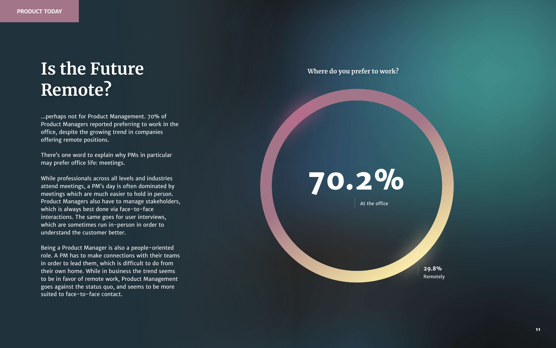There's one word to explain why PMs in particular may prefer office life: meetings.

While professionals across all levels and industries attend meetings, a PM's day is often dominated by meetings which are much easier to hold in person. Product Managers also have to manage stakeholders, which is always best done via face-to-face interactions. The same goes for user interviews, which are sometimes run in-person in order to understand the customer better.

# **Is the Future** Where do you prefer to work? **Remote?**

...perhaps not for Product Management. 70% of Product Managers reported preferring to work in the office, despite the growing trend in companies offering remote positions.

Being a Product Manager is also a people-oriented role. A PM has to make connections with their teams in order to lead them, which is difficult to do from their own home. While in business the trend seems to be in favor of remote work, Product Management goes against the status quo, and seems to be more suited to face-to-face contact.



At the office

Remotely **29.8%**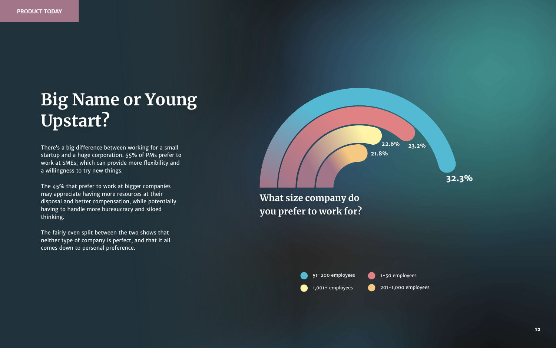There's a big difference between working for a small startup and a huge corporation. 55% of PMs prefer to work at SMEs, which can provide more flexibility and a willingness to try new things.

The 45% that prefer to work at bigger companies may appreciate having more resources at their inay appreciate naving more resources at their<br>disposal and better compensation, while potentially having to handle more bureaucracy and siloed **having** to handle more bureaucracy and siloed thinking.

> The fairly even split between the two shows that neither type of company is perfect, and that it all comes down to personal preference.

# **Big Name or Young Upstart?**





**32.3%**



51-200 employees **1-50 employees** 

1,001+ employees 201-1,000 employees

**What size company do you prefer to work for?**

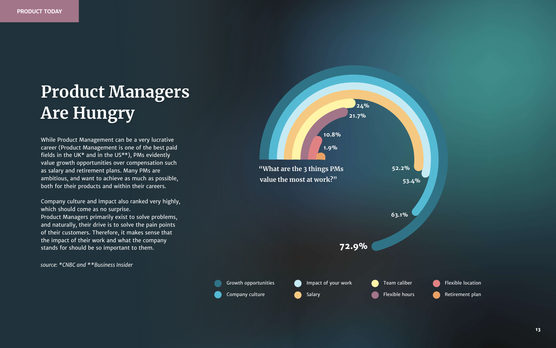While Product Management can be a very lucrative career (Product Management is one of the best paid fields in the UK\* and in the US\*\*), PMs evidently value growth opportunities over compensation such as salary and retirement plans. Many PMs are ambitious, and want to achieve as much as possible, both for their products and within their careers.

Company culture and Impact also ranked very highly, which should come as no surprise. Product Managers primarily exist to solve problems, and naturally, their drive is to solve the pain points of their customers. Therefore, it makes sense that the impact of their work and what the company stands for should be so important to them.

*source: \*CNBC and \*\*Business Insider*

# **Product Managers Are Hungry**

**10.8%**

**1.9% "What are the 3 things PMs "What are the 3 things PMs**

**value the most at work?" value the most at work?"**





Growth opportunities Company culture

Impact of your work

Salary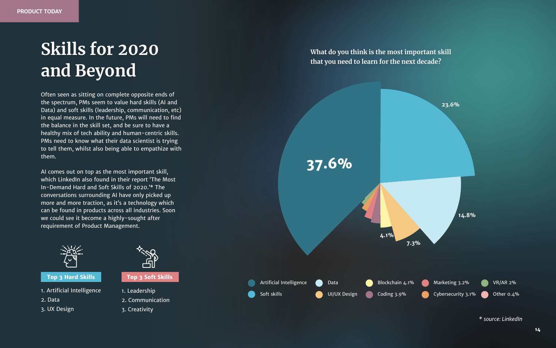Often seen as sitting on complete opposite ends of the spectrum, PMs seem to value hard skills (AI and Data) and soft skills (leadership, communication, etc) in equal measure. In the future, PMs will need to find the balance in the skill set, and be sure to have a healthy mix of tech ability and human-centric skills. PMs need to know what their data scientist is trying to tell them, whilst also being able to empathize with them.

AI comes out on top as the most important skill, which LinkedIn also found in their report 'The Most In-Demand Hard and Soft Skills of 2020.'\* The conversations surrounding AI have only picked up more and more traction, as it's a technology which can be found in products across all industries. Soon we could see it become a highly-sought after requirement of Product Management.

### **Skills for 2020 and Beyond that you need to learn for the next decade?**

*\* source: LinkedIn*

- 1. Artificial Intelligence
- 2. Data
- 3. UX Design



**Top 3 Hard Skills**

- 1. Leadership
- 2. Communication
- 3. Creativity





#### **What do you think is the most important skill that you need to learn for the next decade?**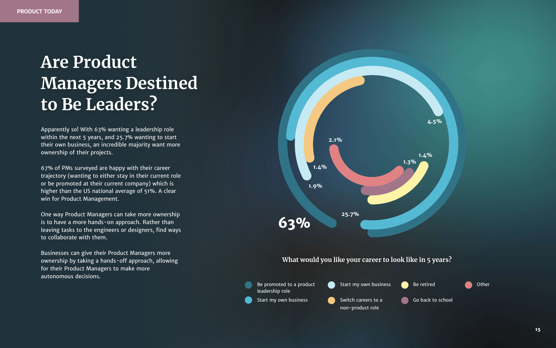Apparently so! With 63% wanting a leadership role within the next 5 years, and 25.7% wanting to start their own business, an incredible majority want more ownership of their projects.

67% of PMs surveyed are happy with their career trajectory (wanting to either stay in their current role or be promoted at their current company) which is higher than the US national average of 51%. A clear win for Product Management.

One way Product Managers can take more ownership is to have a more hands-on approach. Rather than leaving tasks to the engineers or designers, find ways to collaborate with them.

Businesses can give their Product Managers more ownership by taking a hands-off approach, allowing for their Product Managers to make more autonomous decisions.

# **Are Product Managers Destined to Be Leaders?**

leadership role

Start my own business



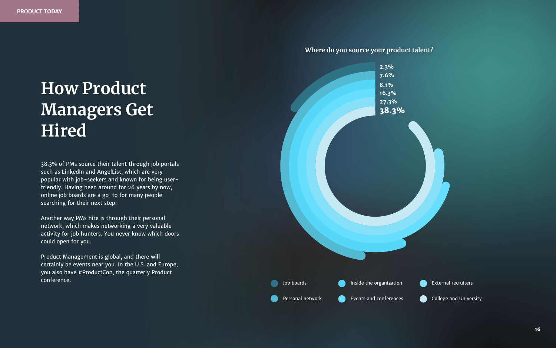38.3% of PMs source their talent through job portals such as LinkedIn and AngelList, which are very popular with job-seekers and known for being userfriendly. Having been around for 26 years by now, online job boards are a go-to for many people searching for their next step.

Another way PMs hire is through their personal network, which makes networking a very valuable activity for job hunters. You never know which doors could open for you.

Product Management is global, and there will certainly be events near you. In the U.S. and Europe, you also have #ProductCon, the quarterly Product conference.

# **How Product Managers Get Hired**

Job boards

Personal network

Inside the organization





External recruiters

College and University

#### **Where do you source your product talent? Where do you source your product talent?**

**38.3%**

| 2.3%                          |
|-------------------------------|
| <b>7.6%</b>                   |
| 8.1%                          |
| 16.3%                         |
| $27.\overline{3}\%$           |
| $\overline{\bf 38.3}^{\rm o}$ |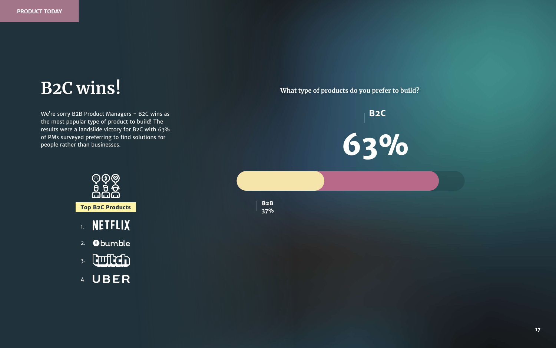We're sorry B2B Product Managers - B2C wins as the most popular type of product to build! The results were a landslide victory for B2C with 63% of PMs surveyed preferring to find solutions for people rather than businesses.





# **B2C wins! B2C wins!**

**What type of products do you prefer to build? What type of products do you prefer to build?**



**B2C**

**B2B 37%**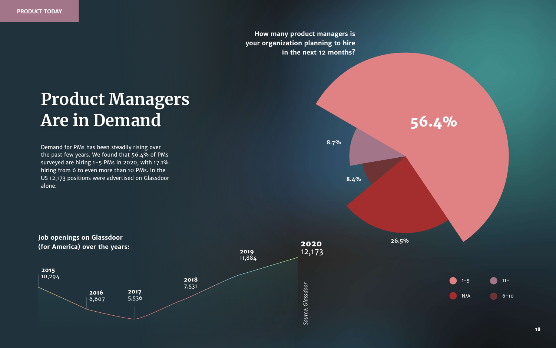Demand for PMs has been steadily rising over the past few years. We found that 56.4% of PMs surveyed are hiring 1-5 PMs in 2020, with 17.1% hiring from 6 to even more than 10 PMs. In the US 12,173 positions were advertised on Glassdoor alone.

## **Product Managers Are in Demand**



### **56.4%**

**26.5%**

**8.7%**

**8.4%**



**How many product managers is your organization planning to hire in the next 12 months?**

![](_page_17_Figure_10.jpeg)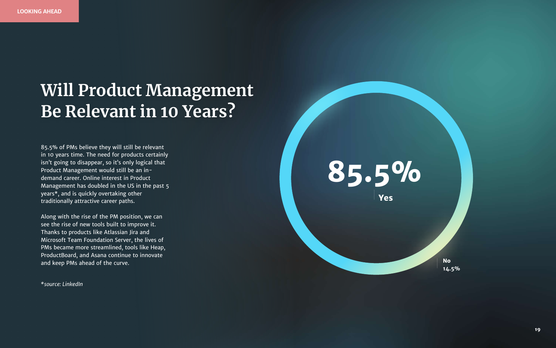85.5% of PMs believe they will still be relevant in 10 years time. The need for products certainly isn't going to disappear, so it's only logical that Product Management would still be an indemand career. Online interest in Product Management has doubled in the US in the past 5 years\*, and is quickly overtaking other traditionally attractive career paths.

Along with the rise of the PM position, we can see the rise of new tools built to improve it. Thanks to products like Atlassian Jira and Microsoft Team Foundation Server, the lives of PMs became more streamlined, tools like Heap, ProductBoard, and Asana continue to innovate and keep PMs ahead of the curve.

*\*source: LinkedIn*

# **Will Product Management Be Relevant in 10 Years?**

![](_page_18_Picture_6.jpeg)

**No 14.5%**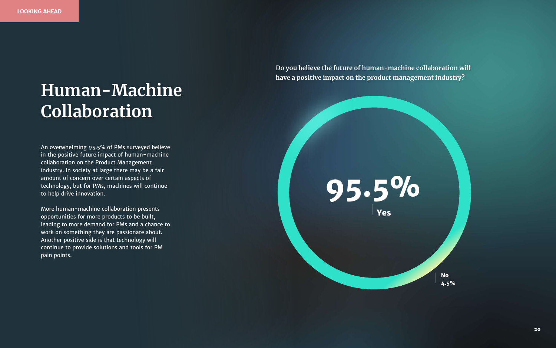An overwhelming 95.5% of PMs surveyed believe in the positive future impact of human-machine collaboration on the Product Management industry. In society at large there may be a fair amount of concern over certain aspects of technology, but for PMs, machines will continue to help drive innovation.

More human-machine collaboration presents opportunities for more products to be built, leading to more demand for PMs and a chance to work on something they are passionate about. Another positive side is that technology will continue to provide solutions and tools for PM pain points.

## **Human-Machine Collaboration**

**Do you believe the future of human-machine collaboration will have a positive impact on the product management industry?**

![](_page_19_Picture_5.jpeg)

**No 4.5%**

![](_page_19_Picture_0.jpeg)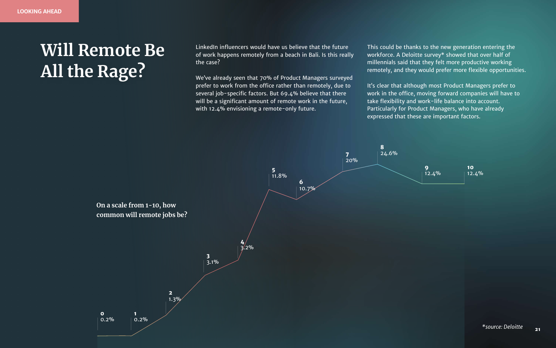We've already seen that 70% of Product Managers surveyed prefer to work from the office rather than remotely, due to several job-specific factors. But 69.4% believe that there will be a significant amount of remote work in the future, with 12.4% envisioning a remote-only future.

LinkedIn influencers would have us believe that the future of work happens remotely from a beach in Bali. Is this really the case? This could be thanks to the new generation entering the workforce. A Deloitte survey\* showed that over half of millennials said that they felt more productive working remotely, and they would prefer more flexible opportunities.

> It's clear that although most Product Managers prefer to work in the office, moving forward companies will have to take flexibility and work-life balance into account. Particularly for Product Managers, who have already expressed that these are important factors.

# **Will Remote Be All the Rage?**

![](_page_20_Figure_4.jpeg)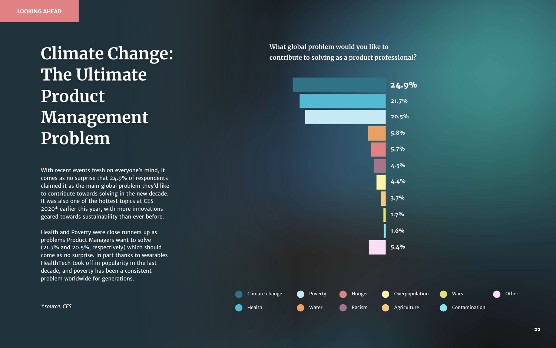With recent events fresh on everyone's mind, it comes as no surprise that 24.9% of respondents claimed it as the main global problem they'd like to contribute towards solving in the new decade. It was also one of the hottest topics at CES 2020\* earlier this year, with more innovations geared towards sustainability than ever before.

Health and Poverty were close runners up as problems Product Managers want to solve (21.7% and 20.5%, respectively) which should come as no surprise. In part thanks to wearables HealthTech took off in popularity in the last decade, and poverty has been a consistent problem worldwide for generations.

![](_page_21_Figure_8.jpeg)

![](_page_21_Picture_5.jpeg)

![](_page_21_Picture_9.jpeg)

**What global problem would you like to contribute to solving as a product professional?**

*\*source: CES*

### **Climate Change: The Ultimate Product Management Problem contribution as a property**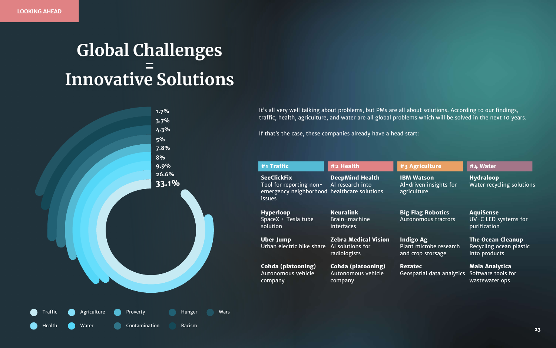### **Global Challenges = Innovative Solutions**

**DeepMind Health** Al research into

Brain-machine

**Zebra Medical Vision**

It's all very well talking about problems, but PMs are all about solutions. According to our findings, traffic, health, agriculture, and water are all global problems which will be solved in the next 10 years.

![](_page_22_Figure_2.jpeg)

**Cohda (platooning)** Autonomous vehicle

**IBM Watson** Al-driven insights for agriculture

**Big Flag Robotics** Autonomous tractors

**Indigo Ag** Plant microbe research and crop storsage

#### **#3 Agriculture**

**Hydraloop** Water recycling solutions

**AquiSense** UV-C LED systems for purification

**Rezatec** Geospatial data analytics Software tools for

**The Ocean Cleanup** Recycling ocean plastic into products

**Maia Analytica** wastewater ops

#### **#4 Water**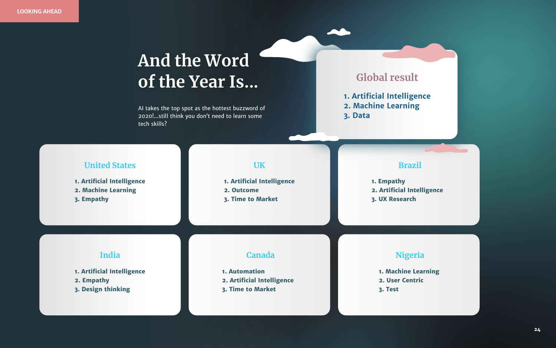# **And the Word of the Year Is...**

AI takes the top spot as the hottest buzzword of 2020!...still think you don't need to learn some tech skills?

- **1. Artificial Intelligence**
- **2. Machine Learning**
- **3. Empathy**

#### **United States**

- **1. Artificial Intelligence**
- **2. Outcome**
- **3. Time to Market**

#### **UK**

- **1. Empathy**
- **2. Artificial Intelligence**
- **3. UX Research**

#### **Brazil**

- **1. Artificial Intelligence**
- **2. Empathy**
- **3. Design thinking**

#### **India**

- **1. Automation**
- **2. Artificial Intelligence**
- **3. Time to Market**

#### **Canada**

- **1. Machine Learning**
- **2. User Centric**
- **3. Test**

#### **Nigeria**

**1. Artificial Intelligence 2. Machine Learning 3. Data**

### **Global result**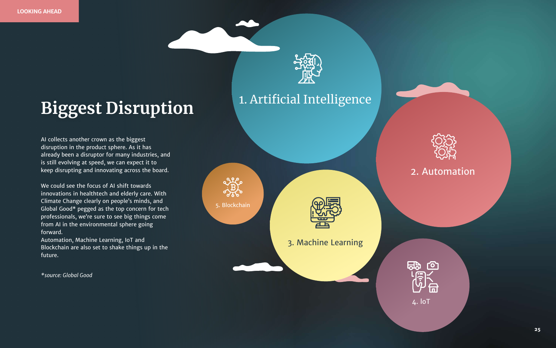# **Biggest Disruption Biggest Disruption**

AI collects another crown as the biggest disruption in the product sphere. As it has already been a disruptor for many industries, and is still evolving at speed, we can expect it to keep disrupting and innovating across the board.

We could see the focus of AI shift towards innovations in healthtech and elderly care. With Climate Change clearly on people's minds, and Global Good\* pegged as the top concern for tech professionals, we're sure to see big things come from AI in the environmental sphere going forward.

Automation, Machine Learning, IoT and Blockchain are also set to shake things up in the future.

*\*source: Global Good*

![](_page_24_Picture_0.jpeg)

![](_page_24_Picture_1.jpeg)

1. Artificial Intelligence

#### 2. Automation

![](_page_24_Picture_13.jpeg)

3. Machine Learning

![](_page_24_Picture_11.jpeg)

4. loT

5. Blockchain

![](_page_24_Picture_9.jpeg)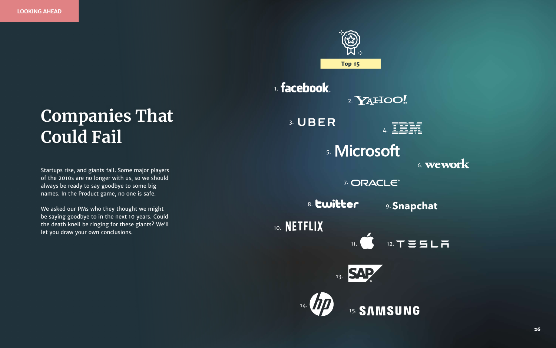**Companies That Could Fail**

![](_page_25_Picture_1.jpeg)

1. facebook.

### 3. **UBER**

8. Ewitter

10. NETFLIX

13.

![](_page_25_Picture_12.jpeg)

#### 2. YAHOO!

![](_page_25_Picture_20.jpeg)

![](_page_25_Picture_21.jpeg)

### 15. SAMSUNG

![](_page_25_Figure_14.jpeg)

### 5. Microsoft

6. wework

#### 7. ORACLE®

Startups rise, and giants fall. Some major players of the 2010s are no longer with us, so we should always be ready to say goodbye to some big names. In the Product game, no one is safe.

We asked our PMs who they thought we might be saying goodbye to in the next 10 years. Could the death knell be ringing for these giants? We'll let you draw your own conclusions.

![](_page_25_Picture_0.jpeg)

![](_page_25_Picture_18.jpeg)

![](_page_25_Picture_19.jpeg)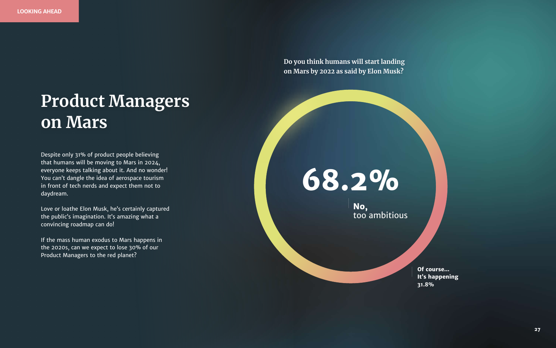# **Product Managers on Mars**

Despite only 31% of product people believing that humans will be moving to Mars in 2024, everyone keeps talking about it. And no wonder! You can't dangle the idea of aerospace tourism in front of tech nerds and expect them not to daydream.

Love or loathe Elon Musk, he's certainly captured the public's imagination. It's amazing what a convincing roadmap can do!

If the mass human exodus to Mars happens in the 2020s, can we expect to lose 30% of our Product Managers to the red planet?

**Do you think humans will start landing on Mars by 2022 as said by Elon Musk?**

> **No,** too ambitious

# **68.2%**

**Of course… It's happening 31.8%**

![](_page_26_Picture_0.jpeg)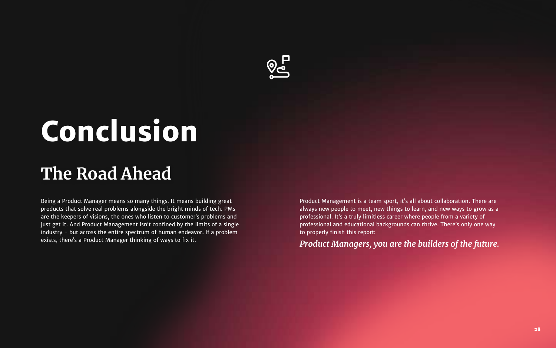# **The Road Ahead The Road Ahead**

Being a Product Manager means so many things. It means building great products that solve real problems alongside the bright minds of tech. PMs are the keepers of visions, the ones who listen to customer's problems and just get it. And Product Management isn't confined by the limits of a single industry - but across the entire spectrum of human endeavor. If a problem exists, there's a Product Manager thinking of ways to fix it.

Product Management is a team sport, it's all about collaboration. There are always new people to meet, new things to learn, and new ways to grow as a professional. It's a truly limitless career where people from a variety of professional and educational backgrounds can thrive. There's only one way to properly finish this report:

*Product Managers, you are the builders of the future.*

![](_page_27_Picture_0.jpeg)

# **Conclusion**